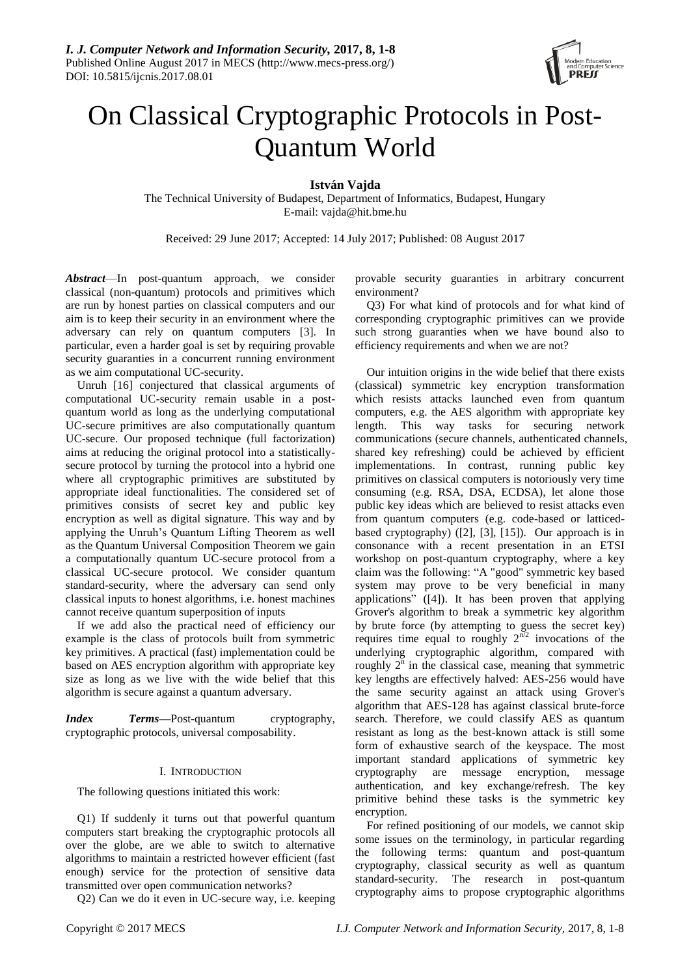

# On Classical Cryptographic Protocols in Post-Quantum World

**István Vajda**

The Technical University of Budapest, Department of Informatics, Budapest, Hungary E-mail: vajda@hit.bme.hu

Received: 29 June 2017; Accepted: 14 July 2017; Published: 08 August 2017

*Abstract*—In post-quantum approach, we consider classical (non-quantum) protocols and primitives which are run by honest parties on classical computers and our aim is to keep their security in an environment where the adversary can rely on quantum computers [3]. In particular, even a harder goal is set by requiring provable security guaranties in a concurrent running environment as we aim computational UC-security.

Unruh [16] conjectured that classical arguments of computational UC-security remain usable in a postquantum world as long as the underlying computational UC-secure primitives are also computationally quantum UC-secure. Our proposed technique (full factorization) aims at reducing the original protocol into a statisticallysecure protocol by turning the protocol into a hybrid one where all cryptographic primitives are substituted by appropriate ideal functionalities. The considered set of primitives consists of secret key and public key encryption as well as digital signature. This way and by applying the Unruh's Quantum Lifting Theorem as well as the Quantum Universal Composition Theorem we gain a computationally quantum UC-secure protocol from a classical UC-secure protocol. We consider quantum standard-security, where the adversary can send only classical inputs to honest algorithms, i.e. honest machines cannot receive quantum superposition of inputs

If we add also the practical need of efficiency our example is the class of protocols built from symmetric key primitives. A practical (fast) implementation could be based on AES encryption algorithm with appropriate key size as long as we live with the wide belief that this algorithm is secure against a quantum adversary.

*Index Terms***—**Post-quantum cryptography, cryptographic protocols, universal composability.

# I. INTRODUCTION

The following questions initiated this work:

Q1) If suddenly it turns out that powerful quantum computers start breaking the cryptographic protocols all over the globe, are we able to switch to alternative algorithms to maintain a restricted however efficient (fast enough) service for the protection of sensitive data transmitted over open communication networks?

Q2) Can we do it even in UC-secure way, i.e. keeping

provable security guaranties in arbitrary concurrent environment?

Q3) For what kind of protocols and for what kind of corresponding cryptographic primitives can we provide such strong guaranties when we have bound also to efficiency requirements and when we are not?

Our intuition origins in the wide belief that there exists (classical) symmetric key encryption transformation which resists attacks launched even from quantum computers, e.g. the AES algorithm with appropriate key length. This way tasks for securing network communications (secure channels, authenticated channels, shared key refreshing) could be achieved by efficient implementations. In contrast, running public key primitives on classical computers is notoriously very time consuming (e.g. RSA, DSA, ECDSA), let alone those public key ideas which are believed to resist attacks even from quantum computers (e.g. code-based or latticedbased cryptography) ([2], [3], [15]). Our approach is in consonance with a recent presentation in an ETSI workshop on post-quantum cryptography, where a key claim was the following: "A "good" symmetric key based system may prove to be very beneficial in many applications" ([4]). It has been proven that applying Grover's algorithm to break a [symmetric key algorithm](https://en.wikipedia.org/wiki/Symmetric_cryptography) by brute force (by attempting to guess the secret key) requires time equal to roughly  $2^{\overline{n}/2}$  invocations of the underlying cryptographic algorithm, compared with roughly  $2<sup>n</sup>$  in the classical case, meaning that symmetric key lengths are effectively halved: AES-256 would have the same security against an attack using Grover's algorithm that AES-128 has against classical brute-force search. Therefore, we could classify AES as quantum resistant as long as the best-known attack is still some form of exhaustive search of the keyspace. The most important standard applications of symmetric key cryptography are message encryption, message authentication, and key exchange/refresh. The key primitive behind these tasks is the symmetric key encryption.

For refined positioning of our models, we cannot skip some issues on the terminology, in particular regarding the following terms: quantum and post-quantum cryptography, classical security as well as quantum standard-security. The research in post-quantum cryptography aims to propose [cryptographic algorithms](http://en.wikipedia.org/wiki/Cryptographic_primitive)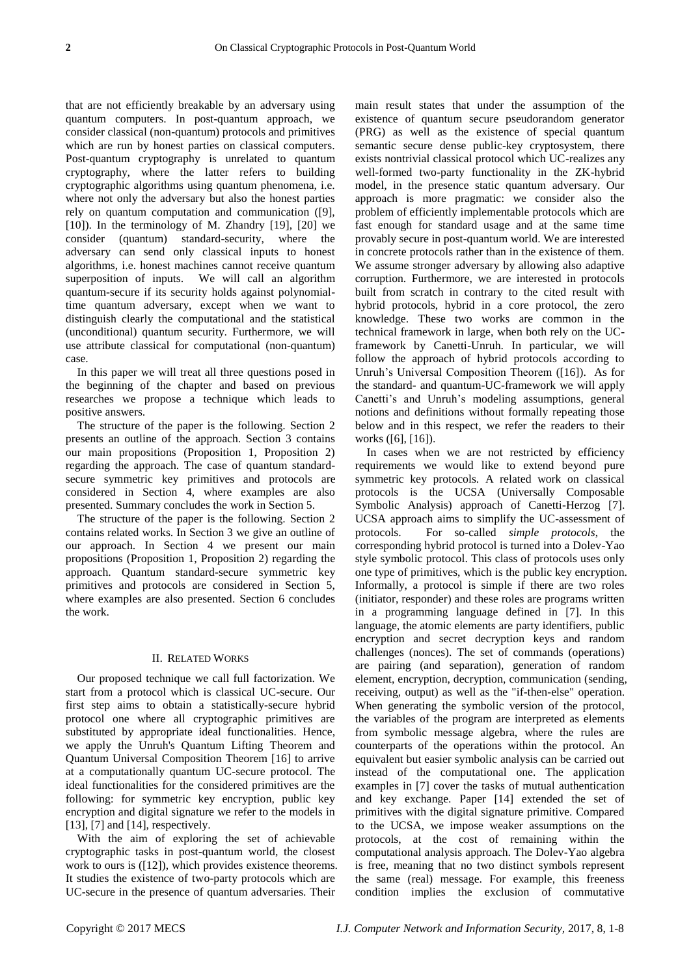that are not efficiently breakable by an adversary using [quantum computers.](http://en.wikipedia.org/wiki/Quantum_computer) In post-quantum approach, we consider classical (non-quantum) protocols and primitives which are run by honest parties on classical computers. Post-quantum cryptography is unrelated to [quantum](http://en.wikipedia.org/wiki/Quantum_cryptography)  [cryptography,](http://en.wikipedia.org/wiki/Quantum_cryptography) where the latter refers to building cryptographic algorithms using quantum phenomena, i.e. where not only the adversary but also the honest parties rely on quantum computation and communication ([9],  $[10]$ ). In the terminology of M. Zhandry  $[19]$ ,  $[20]$  we consider (quantum) standard-security, where the adversary can send only classical inputs to honest algorithms, i.e. honest machines cannot receive quantum superposition of inputs. We will call an algorithm quantum-secure if its security holds against polynomialtime quantum adversary, except when we want to distinguish clearly the computational and the statistical (unconditional) quantum security. Furthermore, we will use attribute classical for computational (non-quantum) case.

In this paper we will treat all three questions posed in the beginning of the chapter and based on previous researches we propose a technique which leads to positive answers.

The structure of the paper is the following. Section 2 presents an outline of the approach. Section 3 contains our main propositions (Proposition 1, Proposition 2) regarding the approach. The case of quantum standardsecure symmetric key primitives and protocols are considered in Section 4, where examples are also presented. Summary concludes the work in Section 5.

The structure of the paper is the following. Section 2 contains related works. In Section 3 we give an outline of our approach. In Section 4 we present our main propositions (Proposition 1, Proposition 2) regarding the approach. Quantum standard-secure symmetric key primitives and protocols are considered in Section 5, where examples are also presented. Section 6 concludes the work.

#### II. RELATED WORKS

Our proposed technique we call full factorization. We start from a protocol which is classical UC-secure. Our first step aims to obtain a statistically-secure hybrid protocol one where all cryptographic primitives are substituted by appropriate ideal functionalities. Hence, we apply the Unruh's Quantum Lifting Theorem and Quantum Universal Composition Theorem [16] to arrive at a computationally quantum UC-secure protocol. The ideal functionalities for the considered primitives are the following: for symmetric key encryption, public key encryption and digital signature we refer to the models in [13], [7] and [14], respectively.

With the aim of exploring the set of achievable cryptographic tasks in post-quantum world, the closest work to ours is ([12]), which provides existence theorems. It studies the existence of two-party protocols which are UC-secure in the presence of quantum adversaries. Their

main result states that under the assumption of the existence of quantum secure pseudorandom generator (PRG) as well as the existence of special quantum semantic secure dense public-key cryptosystem, there exists nontrivial classical protocol which UC-realizes any well-formed two-party functionality in the ZK-hybrid model, in the presence static quantum adversary. Our approach is more pragmatic: we consider also the problem of efficiently implementable protocols which are fast enough for standard usage and at the same time provably secure in post-quantum world. We are interested in concrete protocols rather than in the existence of them. We assume stronger adversary by allowing also adaptive corruption. Furthermore, we are interested in protocols built from scratch in contrary to the cited result with hybrid protocols, hybrid in a core protocol, the zero knowledge. These two works are common in the technical framework in large, when both rely on the UCframework by Canetti-Unruh. In particular, we will follow the approach of hybrid protocols according to Unruh's Universal Composition Theorem ([16]). As for the standard- and quantum-UC-framework we will apply Canetti's and Unruh's modeling assumptions, general notions and definitions without formally repeating those below and in this respect, we refer the readers to their works ([6], [16]).

In cases when we are not restricted by efficiency requirements we would like to extend beyond pure symmetric key protocols. A related work on classical protocols is the UCSA (Universally Composable Symbolic Analysis) approach of Canetti-Herzog [7]. UCSA approach aims to simplify the UC-assessment of protocols. For so-called *simple protocols*, the corresponding hybrid protocol is turned into a Dolev-Yao style symbolic protocol. This class of protocols uses only one type of primitives, which is the public key encryption. Informally, a protocol is simple if there are two roles (initiator, responder) and these roles are programs written in a programming language defined in [7]. In this language, the atomic elements are party identifiers, public encryption and secret decryption keys and random challenges (nonces). The set of commands (operations) are pairing (and separation), generation of random element, encryption, decryption, communication (sending, receiving, output) as well as the "if-then-else" operation. When generating the symbolic version of the protocol, the variables of the program are interpreted as elements from symbolic message algebra, where the rules are counterparts of the operations within the protocol. An equivalent but easier symbolic analysis can be carried out instead of the computational one. The application examples in [7] cover the tasks of mutual authentication and key exchange. Paper [14] extended the set of primitives with the digital signature primitive. Compared to the UCSA, we impose weaker assumptions on the protocols, at the cost of remaining within the computational analysis approach. The Dolev-Yao algebra is free, meaning that no two distinct symbols represent the same (real) message. For example, this freeness condition implies the exclusion of commutative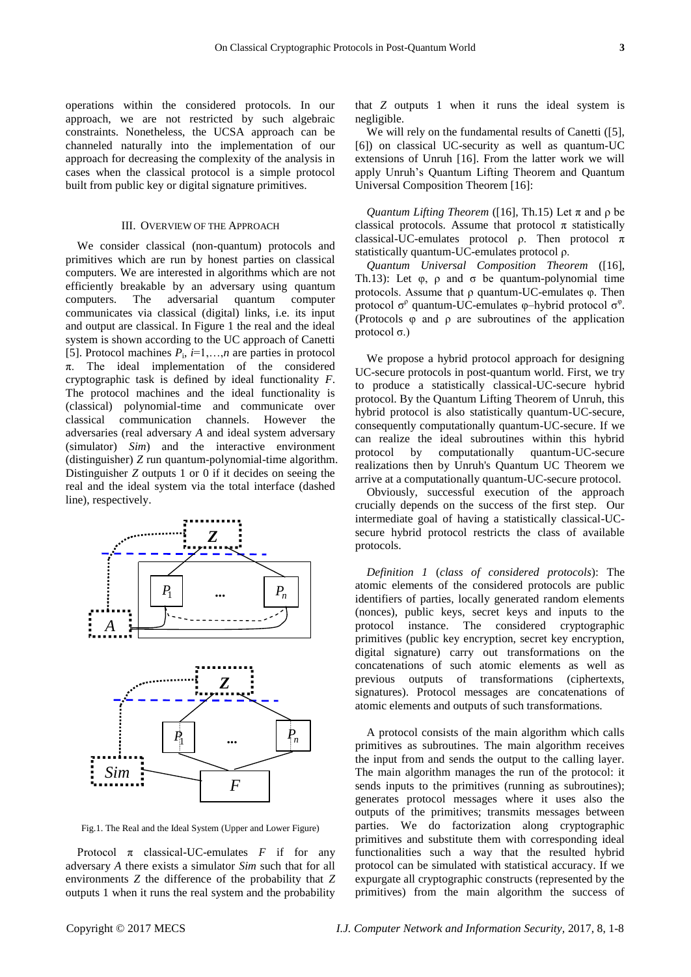operations within the considered protocols. In our approach, we are not restricted by such algebraic constraints. Nonetheless, the UCSA approach can be channeled naturally into the implementation of our approach for decreasing the complexity of the analysis in cases when the classical protocol is a simple protocol built from public key or digital signature primitives.

# III. OVERVIEW OF THE APPROACH

We consider classical (non-quantum) protocols and primitives which are run by honest parties on classical computers. We are interested in algorithms which are not efficiently breakable by an adversary using [quantum](http://en.wikipedia.org/wiki/Quantum_computer)  [computers.](http://en.wikipedia.org/wiki/Quantum_computer) The adversarial quantum computer communicates via classical (digital) links, i.e. its input and output are classical. In Figure 1 the real and the ideal system is shown according to the UC approach of Canetti [5]. Protocol machines  $P_i$ ,  $i=1,...,n$  are parties in protocol  $\pi$ . The ideal implementation of the considered cryptographic task is defined by ideal functionality *F*. The protocol machines and the ideal functionality is (classical) polynomial-time and communicate over classical communication channels. However the adversaries (real adversary *A* and ideal system adversary (simulator) *Sim*) and the interactive environment (distinguisher) *Z* run quantum-polynomial-time algorithm. Distinguisher *Z* outputs 1 or 0 if it decides on seeing the real and the ideal system via the total interface (dashed line), respectively.



Fig.1. The Real and the Ideal System (Upper and Lower Figure)

Protocol  $\pi$  classical-UC-emulates  $F$  if for any adversary *A* there exists a simulator *Sim* such that for all environments *Z* the difference of the probability that *Z* outputs 1 when it runs the real system and the probability

that *Z* outputs 1 when it runs the ideal system is negligible.

We will rely on the fundamental results of Canetti ([5], [6]) on classical UC-security as well as quantum-UC extensions of Unruh [16]. From the latter work we will apply Unruh's Quantum Lifting Theorem and Quantum Universal Composition Theorem [16]:

*Quantum Lifting Theorem* ([16], Th.15) Let  $\pi$  and  $\rho$  be classical protocols. Assume that protocol  $\pi$  statistically classical-UC-emulates protocol ρ. Then protocol  $π$ statistically quantum-UC-emulates protocol ρ.

*Quantum Universal Composition Theorem* ([16], Th.13): Let  $\varphi$ ,  $\rho$  and  $\sigma$  be quantum-polynomial time protocols. Assume that ρ quantum-UC-emulates φ. Then protocol  $\sigma^{\rho}$  quantum-UC-emulates φ-hybrid protocol  $\sigma^{\phi}$ . (Protocols φ and ρ are subroutines of the application protocol σ.)

We propose a hybrid protocol approach for designing UC-secure protocols in post-quantum world. First, we try to produce a statistically classical-UC-secure hybrid protocol. By the Quantum Lifting Theorem of Unruh, this hybrid protocol is also statistically quantum-UC-secure, consequently computationally quantum-UC-secure. If we can realize the ideal subroutines within this hybrid protocol by computationally quantum-UC-secure realizations then by Unruh's Quantum UC Theorem we arrive at a computationally quantum-UC-secure protocol.

Obviously, successful execution of the approach crucially depends on the success of the first step. Our intermediate goal of having a statistically classical-UCsecure hybrid protocol restricts the class of available protocols.

*Definition 1* (*class of considered protocols*): The atomic elements of the considered protocols are public identifiers of parties, locally generated random elements (nonces), public keys, secret keys and inputs to the protocol instance. The considered cryptographic primitives (public key encryption, secret key encryption, digital signature) carry out transformations on the concatenations of such atomic elements as well as previous outputs of transformations (ciphertexts, signatures). Protocol messages are concatenations of atomic elements and outputs of such transformations.

A protocol consists of the main algorithm which calls primitives as subroutines. The main algorithm receives the input from and sends the output to the calling layer. The main algorithm manages the run of the protocol: it sends inputs to the primitives (running as subroutines); generates protocol messages where it uses also the outputs of the primitives; transmits messages between parties. We do factorization along cryptographic primitives and substitute them with corresponding ideal functionalities such a way that the resulted hybrid protocol can be simulated with statistical accuracy. If we expurgate all cryptographic constructs (represented by the primitives) from the main algorithm the success of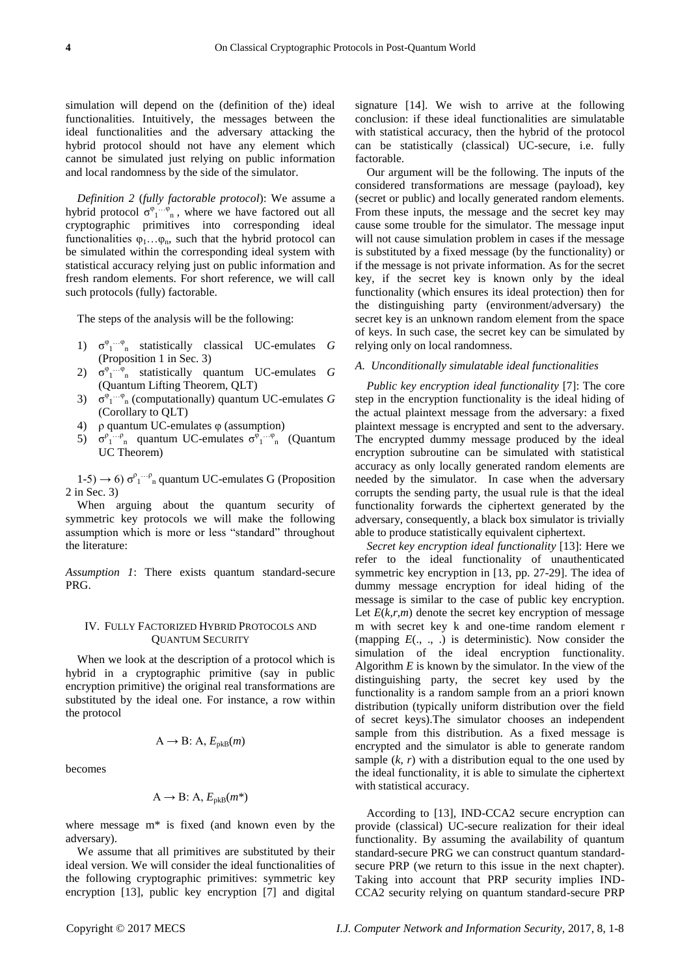simulation will depend on the (definition of the) ideal functionalities. Intuitively, the messages between the ideal functionalities and the adversary attacking the hybrid protocol should not have any element which cannot be simulated just relying on public information and local randomness by the side of the simulator.

*Definition 2* (*fully factorable protocol*): We assume a hybrid protocol  $\sigma^{\varphi_1 \dots \varphi_n}$ , where we have factored out all cryptographic primitives into corresponding ideal functionalities  $\varphi_1...\varphi_n$ , such that the hybrid protocol can be simulated within the corresponding ideal system with statistical accuracy relying just on public information and fresh random elements. For short reference, we will call such protocols (fully) factorable.

The steps of the analysis will be the following:

- 1) σ φ 1 …φ <sup>n</sup> statistically classical UC-emulates *G* (Proposition 1 in Sec. 3)
- 2)  $\sigma^{\varphi}$ <sup>1</sup>  $\cdots$ <sup>6</sup><sub>n</sub> statistically quantum UC-emulates *G* (Quantum Lifting Theorem, QLT)
- 3)  $\sigma^{\varphi_1 \cdots \varphi_n}$  (computationally) quantum UC-emulates *G* (Corollary to QLT)
- 4) ρ quantum UC-emulates φ (assumption)
- 5)  $\sigma_{1}^{\rho_{1}^{\rho_{1}^{\rho_{0}}}}$  quantum UC-emulates  $\sigma_{1}^{\rho_{1}^{\rho_{1}^{\rho_{0}}}}$  (Quantum UC Theorem)

1-5) → 6)  $σ<sup>ρ</sup><sub>1</sub>...ρ<sub>n</sub>$  quantum UC-emulates G (Proposition 2 in Sec. 3)

When arguing about the quantum security of symmetric key protocols we will make the following assumption which is more or less "standard" throughout the literature:

*Assumption 1*: There exists quantum standard-secure PRG.

# IV. FULLY FACTORIZED HYBRID PROTOCOLS AND QUANTUM SECURITY

When we look at the description of a protocol which is hybrid in a cryptographic primitive (say in public encryption primitive) the original real transformations are substituted by the ideal one. For instance, a row within the protocol

$$
A \to B: A, E_{pkB}(m)
$$

becomes

$$
A \to B: A, E_{pkB}(m^*)
$$

where message m\* is fixed (and known even by the adversary).

We assume that all primitives are substituted by their ideal version. We will consider the ideal functionalities of the following cryptographic primitives: symmetric key encryption [13], public key encryption [7] and digital signature [14]. We wish to arrive at the following conclusion: if these ideal functionalities are simulatable with statistical accuracy, then the hybrid of the protocol can be statistically (classical) UC-secure, i.e. fully factorable.

Our argument will be the following. The inputs of the considered transformations are message (payload), key (secret or public) and locally generated random elements. From these inputs, the message and the secret key may cause some trouble for the simulator. The message input will not cause simulation problem in cases if the message is substituted by a fixed message (by the functionality) or if the message is not private information. As for the secret key, if the secret key is known only by the ideal functionality (which ensures its ideal protection) then for the distinguishing party (environment/adversary) the secret key is an unknown random element from the space of keys. In such case, the secret key can be simulated by relying only on local randomness.

# *A. Unconditionally simulatable ideal functionalities*

*Public key encryption ideal functionality* [7]: The core step in the encryption functionality is the ideal hiding of the actual plaintext message from the adversary: a fixed plaintext message is encrypted and sent to the adversary. The encrypted dummy message produced by the ideal encryption subroutine can be simulated with statistical accuracy as only locally generated random elements are needed by the simulator. In case when the adversary corrupts the sending party, the usual rule is that the ideal functionality forwards the ciphertext generated by the adversary, consequently, a black box simulator is trivially able to produce statistically equivalent ciphertext.

*Secret key encryption ideal functionality* [13]: Here we refer to the ideal functionality of unauthenticated symmetric key encryption in [13, pp. 27-29]. The idea of dummy message encryption for ideal hiding of the message is similar to the case of public key encryption. Let  $E(k,r,m)$  denote the secret key encryption of message m with secret key k and one-time random element r (mapping *E*(., ., .) is deterministic). Now consider the simulation of the ideal encryption functionality. Algorithm *E* is known by the simulator. In the view of the distinguishing party, the secret key used by the functionality is a random sample from an a priori known distribution (typically uniform distribution over the field of secret keys).The simulator chooses an independent sample from this distribution. As a fixed message is encrypted and the simulator is able to generate random sample  $(k, r)$  with a distribution equal to the one used by the ideal functionality, it is able to simulate the ciphertext with statistical accuracy.

According to [13], IND-CCA2 secure encryption can provide (classical) UC-secure realization for their ideal functionality. By assuming the availability of quantum standard-secure PRG we can construct quantum standardsecure PRP (we return to this issue in the next chapter). Taking into account that PRP security implies IND-CCA2 security relying on quantum standard-secure PRP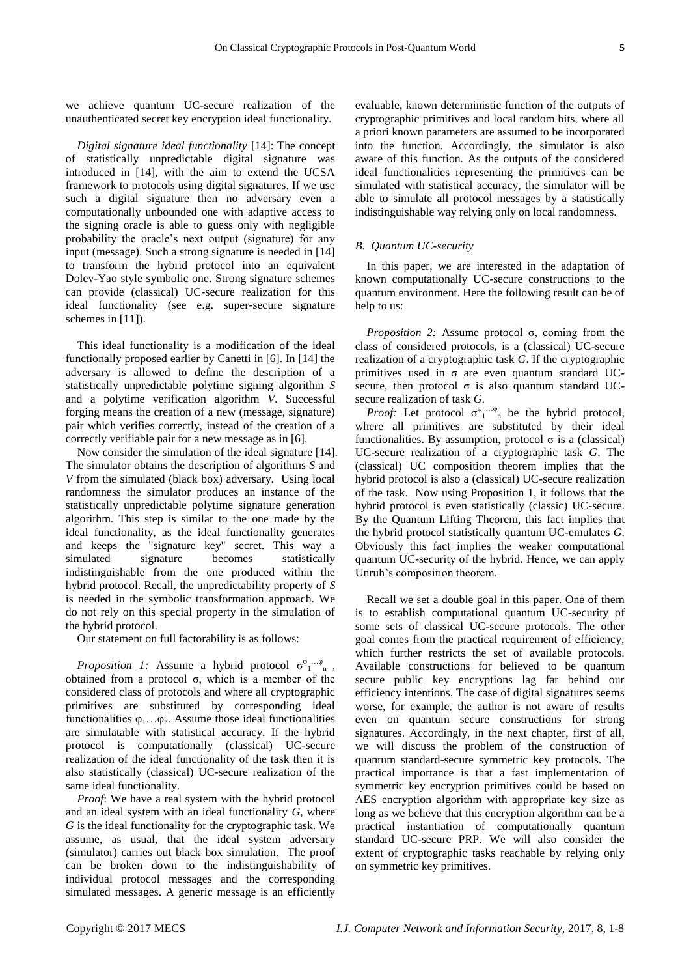we achieve quantum UC-secure realization of the unauthenticated secret key encryption ideal functionality.

*Digital signature ideal functionality* [14]: The concept of statistically unpredictable digital signature was introduced in [14], with the aim to extend the UCSA framework to protocols using digital signatures. If we use such a digital signature then no adversary even a computationally unbounded one with adaptive access to the signing oracle is able to guess only with negligible probability the oracle's next output (signature) for any input (message). Such a strong signature is needed in [14] to transform the hybrid protocol into an equivalent Dolev-Yao style symbolic one. Strong signature schemes can provide (classical) UC-secure realization for this ideal functionality (see e.g. super-secure signature schemes in [11]).

This ideal functionality is a modification of the ideal functionally proposed earlier by Canetti in [6]. In [14] the adversary is allowed to define the description of a statistically unpredictable polytime signing algorithm *S* and a polytime verification algorithm *V*. Successful forging means the creation of a new (message, signature) pair which verifies correctly, instead of the creation of a correctly verifiable pair for a new message as in [6].

Now consider the simulation of the ideal signature [14]. The simulator obtains the description of algorithms *S* and *V* from the simulated (black box) adversary. Using local randomness the simulator produces an instance of the statistically unpredictable polytime signature generation algorithm. This step is similar to the one made by the ideal functionality, as the ideal functionality generates and keeps the "signature key" secret. This way a simulated signature becomes statistically indistinguishable from the one produced within the hybrid protocol. Recall, the unpredictability property of *S* is needed in the symbolic transformation approach. We do not rely on this special property in the simulation of the hybrid protocol.

Our statement on full factorability is as follows:

*Proposition 1:* Assume a hybrid protocol  $\sigma^{\varphi_1 \cdots \varphi_n}$ , obtained from a protocol σ, which is a member of the considered class of protocols and where all cryptographic primitives are substituted by corresponding ideal functionalities  $\varphi_1...\varphi_n$ . Assume those ideal functionalities are simulatable with statistical accuracy. If the hybrid protocol is computationally (classical) UC-secure realization of the ideal functionality of the task then it is also statistically (classical) UC-secure realization of the same ideal functionality.

*Proof*: We have a real system with the hybrid protocol and an ideal system with an ideal functionality *G*, where *G* is the ideal functionality for the cryptographic task. We assume, as usual, that the ideal system adversary (simulator) carries out black box simulation. The proof can be broken down to the indistinguishability of individual protocol messages and the corresponding simulated messages. A generic message is an efficiently

evaluable, known deterministic function of the outputs of cryptographic primitives and local random bits, where all a priori known parameters are assumed to be incorporated into the function. Accordingly, the simulator is also aware of this function. As the outputs of the considered ideal functionalities representing the primitives can be simulated with statistical accuracy, the simulator will be able to simulate all protocol messages by a statistically indistinguishable way relying only on local randomness.

#### *B. Quantum UC-security*

In this paper, we are interested in the adaptation of known computationally UC-secure constructions to the quantum environment. Here the following result can be of help to us:

*Proposition 2:* Assume protocol σ, coming from the class of considered protocols, is a (classical) UC-secure realization of a cryptographic task *G*. If the cryptographic primitives used in σ are even quantum standard UCsecure, then protocol  $\sigma$  is also quantum standard UCsecure realization of task *G*.

*Proof:* Let protocol  $\sigma^{\varphi_1 \cdots \varphi_n}$  be the hybrid protocol, where all primitives are substituted by their ideal functionalities. By assumption, protocol  $\sigma$  is a (classical) UC-secure realization of a cryptographic task *G*. The (classical) UC composition theorem implies that the hybrid protocol is also a (classical) UC-secure realization of the task. Now using Proposition 1, it follows that the hybrid protocol is even statistically (classic) UC-secure. By the Quantum Lifting Theorem, this fact implies that the hybrid protocol statistically quantum UC-emulates *G*. Obviously this fact implies the weaker computational quantum UC-security of the hybrid. Hence, we can apply Unruh's composition theorem.

Recall we set a double goal in this paper. One of them is to establish computational quantum UC-security of some sets of classical UC-secure protocols. The other goal comes from the practical requirement of efficiency, which further restricts the set of available protocols. Available constructions for believed to be quantum secure public key encryptions lag far behind our efficiency intentions. The case of digital signatures seems worse, for example, the author is not aware of results even on quantum secure constructions for strong signatures. Accordingly, in the next chapter, first of all, we will discuss the problem of the construction of quantum standard-secure symmetric key protocols. The practical importance is that a fast implementation of symmetric key encryption primitives could be based on AES encryption algorithm with appropriate key size as long as we believe that this encryption algorithm can be a practical instantiation of computationally quantum standard UC-secure PRP. We will also consider the extent of cryptographic tasks reachable by relying only on symmetric key primitives.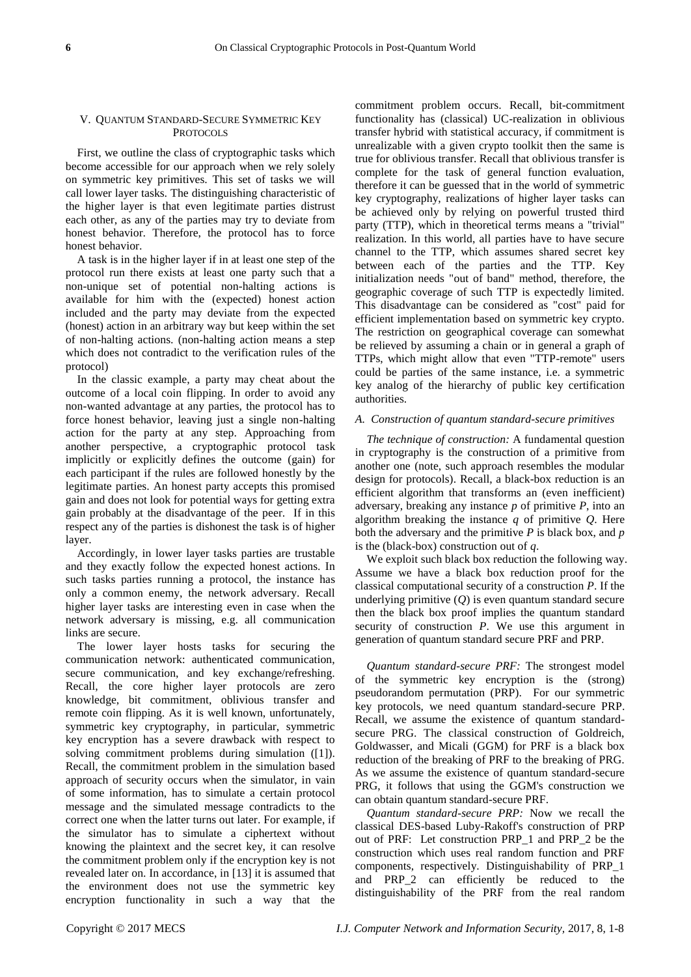# V. QUANTUM STANDARD-SECURE SYMMETRIC KEY **PROTOCOLS**

First, we outline the class of cryptographic tasks which become accessible for our approach when we rely solely on symmetric key primitives. This set of tasks we will call lower layer tasks. The distinguishing characteristic of the higher layer is that even legitimate parties distrust each other, as any of the parties may try to deviate from honest behavior. Therefore, the protocol has to force honest behavior.

A task is in the higher layer if in at least one step of the protocol run there exists at least one party such that a non-unique set of potential non-halting actions is available for him with the (expected) honest action included and the party may deviate from the expected (honest) action in an arbitrary way but keep within the set of non-halting actions. (non-halting action means a step which does not contradict to the verification rules of the protocol)

In the classic example, a party may cheat about the outcome of a local coin flipping. In order to avoid any non-wanted advantage at any parties, the protocol has to force honest behavior, leaving just a single non-halting action for the party at any step. Approaching from another perspective, a cryptographic protocol task implicitly or explicitly defines the outcome (gain) for each participant if the rules are followed honestly by the legitimate parties. An honest party accepts this promised gain and does not look for potential ways for getting extra gain probably at the disadvantage of the peer. If in this respect any of the parties is dishonest the task is of higher layer.

Accordingly, in lower layer tasks parties are trustable and they exactly follow the expected honest actions. In such tasks parties running a protocol, the instance has only a common enemy, the network adversary. Recall higher layer tasks are interesting even in case when the network adversary is missing, e.g. all communication links are secure.

The lower layer hosts tasks for securing the communication network: authenticated communication, secure communication, and key exchange/refreshing. Recall, the core higher layer protocols are zero knowledge, bit commitment, oblivious transfer and remote coin flipping. As it is well known, unfortunately, symmetric key cryptography, in particular, symmetric key encryption has a severe drawback with respect to solving commitment problems during simulation ([1]). Recall, the commitment problem in the simulation based approach of security occurs when the simulator, in vain of some information, has to simulate a certain protocol message and the simulated message contradicts to the correct one when the latter turns out later. For example, if the simulator has to simulate a ciphertext without knowing the plaintext and the secret key, it can resolve the commitment problem only if the encryption key is not revealed later on. In accordance, in [13] it is assumed that the environment does not use the symmetric key encryption functionality in such a way that the

commitment problem occurs. Recall, bit-commitment functionality has (classical) UC-realization in oblivious transfer hybrid with statistical accuracy, if commitment is unrealizable with a given crypto toolkit then the same is true for oblivious transfer. Recall that oblivious transfer is complete for the task of general function evaluation, therefore it can be guessed that in the world of symmetric key cryptography, realizations of higher layer tasks can be achieved only by relying on powerful trusted third party (TTP), which in theoretical terms means a "trivial" realization. In this world, all parties have to have secure channel to the TTP, which assumes shared secret key between each of the parties and the TTP. Key initialization needs "out of band" method, therefore, the geographic coverage of such TTP is expectedly limited. This disadvantage can be considered as "cost" paid for efficient implementation based on symmetric key crypto. The restriction on geographical coverage can somewhat be relieved by assuming a chain or in general a graph of TTPs, which might allow that even "TTP-remote" users could be parties of the same instance, i.e. a symmetric key analog of the hierarchy of public key certification authorities.

#### *A. Construction of quantum standard-secure primitives*

*The technique of construction:* A fundamental question in cryptography is the construction of a primitive from another one (note, such approach resembles the modular design for protocols). Recall, a black-box reduction is an efficient algorithm that transforms an (even inefficient) adversary, breaking any instance *p* of primitive *P*, into an algorithm breaking the instance *q* of primitive *Q*. Here both the adversary and the primitive *P* is black box, and *p* is the (black-box) construction out of *q*.

We exploit such black box reduction the following way. Assume we have a black box reduction proof for the classical computational security of a construction *P*. If the underlying primitive (*Q*) is even quantum standard secure then the black box proof implies the quantum standard security of construction *P*. We use this argument in generation of quantum standard secure PRF and PRP.

*Quantum standard-secure PRF:* The strongest model of the symmetric key encryption is the (strong) pseudorandom permutation (PRP). For our symmetric key protocols, we need quantum standard-secure PRP. Recall, we assume the existence of quantum standardsecure PRG. The classical construction of Goldreich, Goldwasser, and Micali (GGM) for PRF is a black box reduction of the breaking of PRF to the breaking of PRG. As we assume the existence of quantum standard-secure PRG, it follows that using the GGM's construction we can obtain quantum standard-secure PRF.

*Quantum standard-secure PRP:* Now we recall the classical DES-based Luby-Rakoff's construction of PRP out of PRF: Let construction PRP\_1 and PRP\_2 be the construction which uses real random function and PRF components, respectively. Distinguishability of PRP\_1 and PRP\_2 can efficiently be reduced to the distinguishability of the PRF from the real random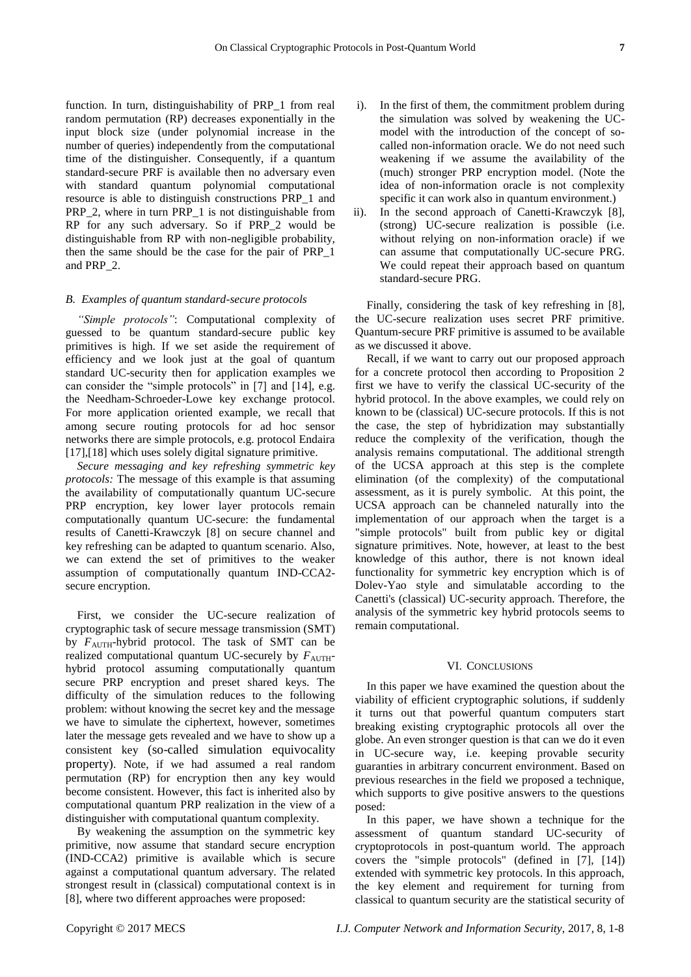function. In turn, distinguishability of PRP\_1 from real random permutation (RP) decreases exponentially in the input block size (under polynomial increase in the number of queries) independently from the computational time of the distinguisher. Consequently, if a quantum standard-secure PRF is available then no adversary even with standard quantum polynomial computational resource is able to distinguish constructions PRP\_1 and PRP 2, where in turn PRP 1 is not distinguishable from RP for any such adversary. So if PRP 2 would be distinguishable from RP with non-negligible probability, then the same should be the case for the pair of PRP\_1 and PRP\_2.

# *B. Examples of quantum standard-secure protocols*

*"Simple protocols"*: Computational complexity of guessed to be quantum standard-secure public key primitives is high. If we set aside the requirement of efficiency and we look just at the goal of quantum standard UC-security then for application examples we can consider the "simple protocols" in  $[7]$  and  $[14]$ , e.g. the Needham-Schroeder-Lowe key exchange protocol. For more application oriented example, we recall that among secure routing protocols for ad hoc sensor networks there are simple protocols, e.g. protocol Endaira [17],[18] which uses solely digital signature primitive.

*Secure messaging and key refreshing symmetric key protocols:* The message of this example is that assuming the availability of computationally quantum UC-secure PRP encryption, key lower layer protocols remain computationally quantum UC-secure: the fundamental results of Canetti-Krawczyk [8] on secure channel and key refreshing can be adapted to quantum scenario. Also, we can extend the set of primitives to the weaker assumption of computationally quantum IND-CCA2 secure encryption.

First, we consider the UC-secure realization of cryptographic task of secure message transmission (SMT) by  $F_{\text{AUTH}}$ -hybrid protocol. The task of SMT can be realized computational quantum UC-securely by  $F_{\text{AUTH}}$ hybrid protocol assuming computationally quantum secure PRP encryption and preset shared keys. The difficulty of the simulation reduces to the following problem: without knowing the secret key and the message we have to simulate the ciphertext, however, sometimes later the message gets revealed and we have to show up a consistent key (so-called simulation equivocality property). Note, if we had assumed a real random permutation (RP) for encryption then any key would become consistent. However, this fact is inherited also by computational quantum PRP realization in the view of a distinguisher with computational quantum complexity.

By weakening the assumption on the symmetric key primitive, now assume that standard secure encryption (IND-CCA2) primitive is available which is secure against a computational quantum adversary. The related strongest result in (classical) computational context is in [8], where two different approaches were proposed:

- i). In the first of them, the commitment problem during the simulation was solved by weakening the UCmodel with the introduction of the concept of socalled non-information oracle. We do not need such weakening if we assume the availability of the (much) stronger PRP encryption model. (Note the idea of non-information oracle is not complexity specific it can work also in quantum environment.)
- ii). In the second approach of Canetti-Krawczyk [8], (strong) UC-secure realization is possible (i.e. without relying on non-information oracle) if we can assume that computationally UC-secure PRG. We could repeat their approach based on quantum standard-secure PRG.

Finally, considering the task of key refreshing in [8], the UC-secure realization uses secret PRF primitive. Quantum-secure PRF primitive is assumed to be available as we discussed it above.

Recall, if we want to carry out our proposed approach for a concrete protocol then according to Proposition 2 first we have to verify the classical UC-security of the hybrid protocol. In the above examples, we could rely on known to be (classical) UC-secure protocols. If this is not the case, the step of hybridization may substantially reduce the complexity of the verification, though the analysis remains computational. The additional strength of the UCSA approach at this step is the complete elimination (of the complexity) of the computational assessment, as it is purely symbolic. At this point, the UCSA approach can be channeled naturally into the implementation of our approach when the target is a "simple protocols" built from public key or digital signature primitives. Note, however, at least to the best knowledge of this author, there is not known ideal functionality for symmetric key encryption which is of Dolev-Yao style and simulatable according to the Canetti's (classical) UC-security approach. Therefore, the analysis of the symmetric key hybrid protocols seems to remain computational.

#### VI. CONCLUSIONS

In this paper we have examined the question about the viability of efficient cryptographic solutions, if suddenly it turns out that powerful quantum computers start breaking existing cryptographic protocols all over the globe. An even stronger question is that can we do it even in UC-secure way, i.e. keeping provable security guaranties in arbitrary concurrent environment. Based on previous researches in the field we proposed a technique, which supports to give positive answers to the questions posed:

In this paper, we have shown a technique for the assessment of quantum standard UC-security of cryptoprotocols in post-quantum world. The approach covers the "simple protocols" (defined in [7], [14]) extended with symmetric key protocols. In this approach, the key element and requirement for turning from classical to quantum security are the statistical security of